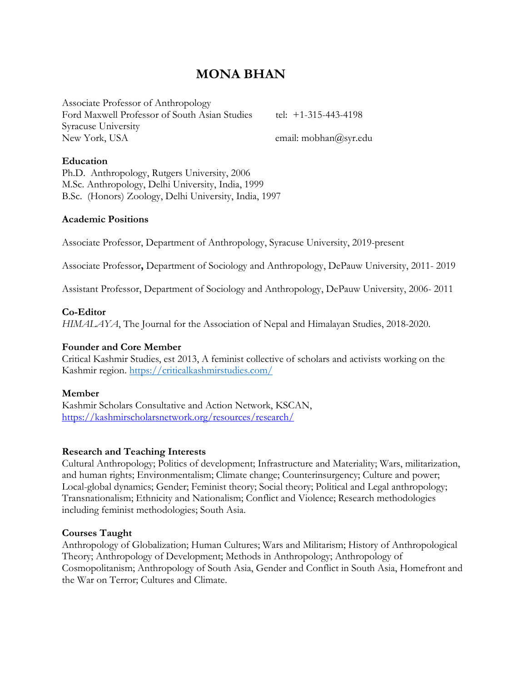# **MONA BHAN**

Associate Professor of Anthropology Ford Maxwell Professor of South Asian Studies tel: +1-315-443-4198 Syracuse University New York, USA email: mobhan@syr.edu

## **Education**

Ph.D. Anthropology, Rutgers University, 2006 M.Sc. Anthropology, Delhi University, India, 1999 B.Sc. (Honors) Zoology, Delhi University, India, 1997

## **Academic Positions**

Associate Professor, Department of Anthropology, Syracuse University, 2019-present

Associate Professor**,** Department of Sociology and Anthropology, DePauw University, 2011- 2019

Assistant Professor, Department of Sociology and Anthropology, DePauw University, 2006- 2011

# **Co-Editor**

*HIMALAYA*, The Journal for the Association of Nepal and Himalayan Studies, 2018-2020.

#### **Founder and Core Member**

Critical Kashmir Studies, est 2013, A feminist collective of scholars and activists working on the Kashmir region.<https://criticalkashmirstudies.com/>

# **Member**

Kashmir Scholars Consultative and Action Network, KSCAN, <https://kashmirscholarsnetwork.org/resources/research/>

# **Research and Teaching Interests**

Cultural Anthropology; Politics of development; Infrastructure and Materiality; Wars, militarization, and human rights; Environmentalism; Climate change; Counterinsurgency; Culture and power; Local-global dynamics; Gender; Feminist theory; Social theory; Political and Legal anthropology; Transnationalism; Ethnicity and Nationalism; Conflict and Violence; Research methodologies including feminist methodologies; South Asia.

#### **Courses Taught**

Anthropology of Globalization; Human Cultures; Wars and Militarism; History of Anthropological Theory; Anthropology of Development; Methods in Anthropology; Anthropology of Cosmopolitanism; Anthropology of South Asia, Gender and Conflict in South Asia, Homefront and the War on Terror; Cultures and Climate.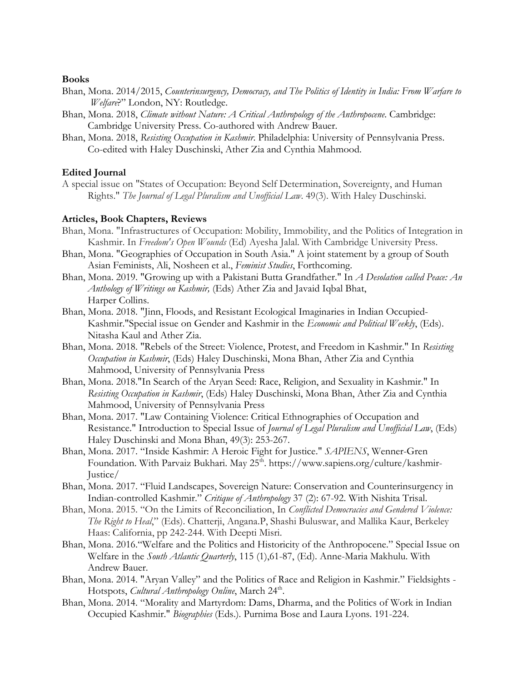#### **Books**

- Bhan, Mona. 2014/2015, *Counterinsurgency, Democracy, and The Politics of Identity in India: From Warfare to Welfare*?" London, NY: Routledge.
- Bhan, Mona. 2018, *Climate without Nature: A Critical Anthropology of the Anthropocene*. Cambridge: Cambridge University Press. Co-authored with Andrew Bauer.
- Bhan, Mona. 2018, *Resisting Occupation in Kashmir*. Philadelphia: University of Pennsylvania Press. Co-edited with Haley Duschinski, Ather Zia and Cynthia Mahmood.

#### **Edited Journal**

A special issue on "States of Occupation: Beyond Self Determination, Sovereignty, and Human Rights." *The Journal of Legal Pluralism and Unofficial Law*. 49(3). With Haley Duschinski.

#### **Articles, Book Chapters, Reviews**

- Bhan, Mona. "Infrastructures of Occupation: Mobility, Immobility, and the Politics of Integration in Kashmir. In *Freedom's Open Wounds* (Ed) Ayesha Jalal. With Cambridge University Press.
- Bhan, Mona. "Geographies of Occupation in South Asia." A joint statement by a group of South Asian Feminists, Ali, Nosheen et al., *Feminist Studies*, Forthcoming.
- Bhan, Mona. 2019. "Growing up with a Pakistani Butta Grandfather." In *A Desolation called Peace: An Anthology of Writings on Kashmir,* (Eds) Ather Zia and Javaid Iqbal Bhat, Harper Collins.
- Bhan, Mona. 2018. "Jinn, Floods, and Resistant Ecological Imaginaries in Indian Occupied- Kashmir."Special issue on Gender and Kashmir in the *Economic and Political Weekly*, (Eds). Nitasha Kaul and Ather Zia.
- Bhan, Mona. 2018. "Rebels of the Street: Violence, Protest, and Freedom in Kashmir." In *Resisting Occupation in Kashmir*, (Eds) Haley Duschinski, Mona Bhan, Ather Zia and Cynthia Mahmood, University of Pennsylvania Press
- Bhan, Mona. 2018."In Search of the Aryan Seed: Race, Religion, and Sexuality in Kashmir." In  *Resisting Occupation in Kashmir*, (Eds) Haley Duschinski, Mona Bhan, Ather Zia and Cynthia Mahmood, University of Pennsylvania Press
- Bhan, Mona. 2017. "Law Containing Violence: Critical Ethnographies of Occupation and Resistance." Introduction to Special Issue of *Journal of Legal Pluralism and Unofficial Law*, (Eds) Haley Duschinski and Mona Bhan, 49(3): 253-267.
- Bhan, Mona. 2017. "Inside Kashmir: A Heroic Fight for Justice." *SAPIENS*, Wenner-Gren Foundation. With Parvaiz Bukhari. May 25<sup>th</sup>. https://www.sapiens.org/culture/kashmir-Justice/
- Bhan, Mona. 2017. "Fluid Landscapes, Sovereign Nature: Conservation and Counterinsurgency in Indian-controlled Kashmir." *Critique of Anthropology* 37 (2): 67-92. With Nishita Trisal.
- Bhan, Mona. 2015. "On the Limits of Reconciliation, In *Conflicted Democracies and Gendered Violence: The Right to Heal*," (Eds). Chatterji, Angana.P, Shashi Buluswar, and Mallika Kaur, Berkeley Haas: California, pp 242-244. With Deepti Misri.
- Bhan, Mona. 2016."Welfare and the Politics and Historicity of the Anthropocene." Special Issue on Welfare in the *South Atlantic Quarterly*, 115 (1),61-87, (Ed). Anne-Maria Makhulu. With Andrew Bauer.
- Bhan, Mona. 2014. "Aryan Valley" and the Politics of Race and Religion in Kashmir." Fieldsights Hotspots, *Cultural Anthropology Online*, March 24<sup>th</sup>.
- Bhan, Mona. 2014. "Morality and Martyrdom: Dams, Dharma, and the Politics of Work in Indian Occupied Kashmir." *Biographies* (Eds.). Purnima Bose and Laura Lyons. 191-224.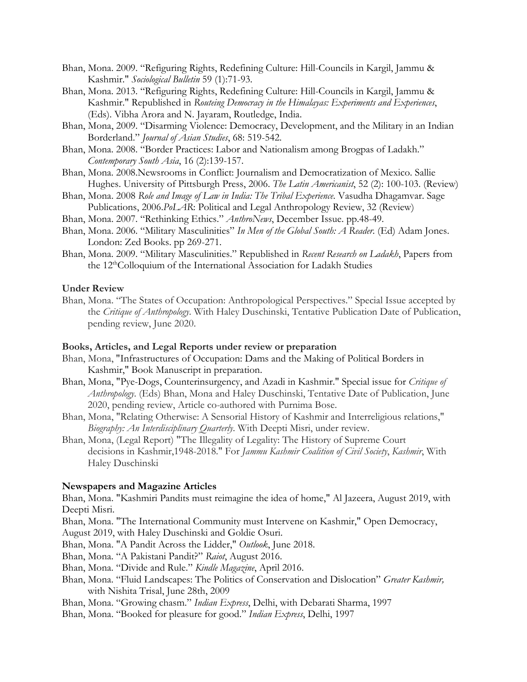- Bhan, Mona. 2009. "Refiguring Rights, Redefining Culture: Hill-Councils in Kargil, Jammu & Kashmir." *Sociological Bulletin* 59 (1):71-93.
- Bhan, Mona. 2013. "Refiguring Rights, Redefining Culture: Hill-Councils in Kargil, Jammu & Kashmir." Republished in *Routeing Democracy in the Himalayas: Experiments and Experiences*, (Eds). Vibha Arora and N. Jayaram, Routledge, India.
- Bhan, Mona, 2009. "Disarming Violence: Democracy, Development, and the Military in an Indian Borderland." *Journal of Asian Studies*, 68: 519-542.
- Bhan, Mona. 2008. "Border Practices: Labor and Nationalism among Brogpas of Ladakh."  *Contemporary South Asia*, 16 (2):139-157.
- Bhan, Mona. 2008.Newsrooms in Conflict: Journalism and Democratization of Mexico. Sallie Hughes. University of Pittsburgh Press, 2006. *The Latin Americanist*, 52 (2): 100-103. (Review)
- Bhan, Mona. 2008 *Role and Image of Law in India: The Tribal Experience*. Vasudha Dhagamvar. Sage Publications, 2006.*PoLAR*: Political and Legal Anthropology Review, 32 (Review)
- Bhan, Mona. 2007. "Rethinking Ethics." *AnthroNews*, December Issue. pp.48-49.
- Bhan, Mona. 2006. "Military Masculinities" *In Men of the Global South: A Reader*. (Ed) Adam Jones. London: Zed Books. pp 269-271.
- Bhan, Mona. 2009. "Military Masculinities." Republished in *Recent Research on Ladakh*, Papers from the 12<sup>th</sup>Colloquium of the International Association for Ladakh Studies

#### **Under Review**

Bhan, Mona. "The States of Occupation: Anthropological Perspectives." Special Issue accepted by the *Critique of Anthropology*. With Haley Duschinski, Tentative Publication Date of Publication, pending review, June 2020.

#### **Books, Articles, and Legal Reports under review or preparation**

- Bhan, Mona, "Infrastructures of Occupation: Dams and the Making of Political Borders in Kashmir," Book Manuscript in preparation.
- Bhan, Mona, "Pye-Dogs, Counterinsurgency, and Azadi in Kashmir." Special issue for *Critique of Anthropology*. (Eds) Bhan, Mona and Haley Duschinski, Tentative Date of Publication, June 2020, pending review, Article co-authored with Purnima Bose.
- Bhan, Mona, "Relating Otherwise: A Sensorial History of Kashmir and Interreligious relations,"  *Biography: An Interdisciplinary Quarterly*. With Deepti Misri, under review.
- Bhan, Mona, (Legal Report) "The Illegality of Legality: The History of Supreme Court decisions in Kashmir,1948-2018." For *Jammu Kashmir Coalition of Civil Society*, *Kashmir*, With Haley Duschinski

#### **Newspapers and Magazine Articles**

Bhan, Mona. "Kashmiri Pandits must reimagine the idea of home," Al Jazeera, August 2019, with Deepti Misri.

Bhan, Mona. "The International Community must Intervene on Kashmir," Open Democracy,

August 2019, with Haley Duschinski and Goldie Osuri.

Bhan, Mona. "A Pandit Across the Lidder," *Outlook*, June 2018.

Bhan, Mona. "A Pakistani Pandit?" *Raiot*, August 2016.

Bhan, Mona. "Divide and Rule." *Kindle Magazine*, April 2016.

- Bhan, Mona. "Fluid Landscapes: The Politics of Conservation and Dislocation" *Greater Kashmir,* with Nishita Trisal, June 28th, 2009
- Bhan, Mona. "Growing chasm." *Indian Express*, Delhi, with Debarati Sharma, 1997
- Bhan, Mona. "Booked for pleasure for good." *Indian Express*, Delhi, 1997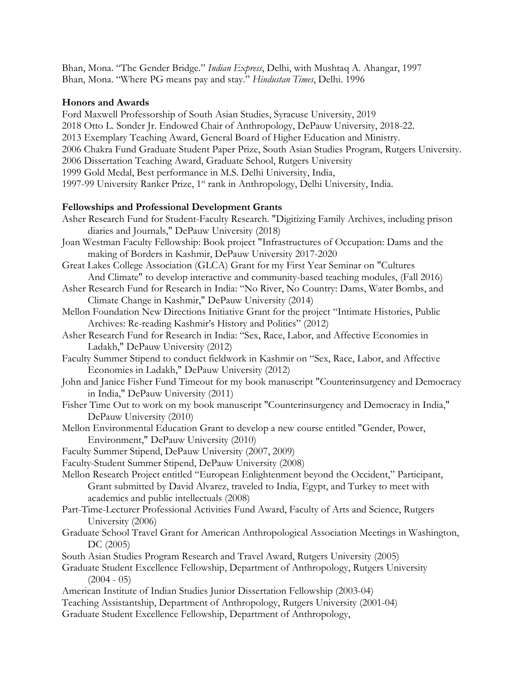Bhan, Mona. "The Gender Bridge." *Indian Express*, Delhi, with Mushtaq A. Ahangar, 1997 Bhan, Mona. "Where PG means pay and stay." *Hindustan Times*, Delhi. 1996

## **Honors and Awards**

Ford Maxwell Professorship of South Asian Studies, Syracuse University, 2019 2018 Otto L. Sonder Jr. Endowed Chair of Anthropology, DePauw University, 2018-22. 2013 Exemplary Teaching Award, General Board of Higher Education and Ministry. 2006 Chakra Fund Graduate Student Paper Prize, South Asian Studies Program, Rutgers University. 2006 Dissertation Teaching Award, Graduate School, Rutgers University 1999 Gold Medal, Best performance in M.S. Delhi University, India, 1997-99 University Ranker Prize, 1<sup>st</sup> rank in Anthropology, Delhi University, India.

## **Fellowships and Professional Development Grants**

- Asher Research Fund for Student-Faculty Research. "Digitizing Family Archives, including prison diaries and Journals," DePauw University (2018)
- Joan Westman Faculty Fellowship: Book project "Infrastructures of Occupation: Dams and the making of Borders in Kashmir, DePauw University 2017-2020
- Great Lakes College Association (GLCA) Grant for my First Year Seminar on "Cultures And Climate" to develop interactive and community-based teaching modules, (Fall 2016)
- Asher Research Fund for Research in India: "No River, No Country: Dams, Water Bombs, and Climate Change in Kashmir," DePauw University (2014)
- Mellon Foundation New Directions Initiative Grant for the project "Intimate Histories, Public Archives: Re-reading Kashmir's History and Politics" (2012)
- Asher Research Fund for Research in India: "Sex, Race, Labor, and Affective Economies in Ladakh," DePauw University (2012)
- Faculty Summer Stipend to conduct fieldwork in Kashmir on "Sex, Race, Labor, and Affective Economies in Ladakh," DePauw University (2012)
- John and Janice Fisher Fund Timeout for my book manuscript "Counterinsurgency and Democracy in India," DePauw University (2011)
- Fisher Time Out to work on my book manuscript "Counterinsurgency and Democracy in India," DePauw University (2010)
- Mellon Environmental Education Grant to develop a new course entitled "Gender, Power, Environment," DePauw University (2010)
- Faculty Summer Stipend, DePauw University (2007, 2009)
- Faculty-Student Summer Stipend, DePauw University (2008)
- Mellon Research Project entitled "European Enlightenment beyond the Occident," Participant, Grant submitted by David Alvarez, traveled to India, Egypt, and Turkey to meet with academics and public intellectuals (2008)
- Part-Time-Lecturer Professional Activities Fund Award, Faculty of Arts and Science, Rutgers University (2006)
- Graduate School Travel Grant for American Anthropological Association Meetings in Washington, DC (2005)
- South Asian Studies Program Research and Travel Award, Rutgers University (2005)
- Graduate Student Excellence Fellowship, Department of Anthropology, Rutgers University  $(2004 - 05)$
- American Institute of Indian Studies Junior Dissertation Fellowship (2003-04)
- Teaching Assistantship, Department of Anthropology, Rutgers University (2001-04)
- Graduate Student Excellence Fellowship, Department of Anthropology,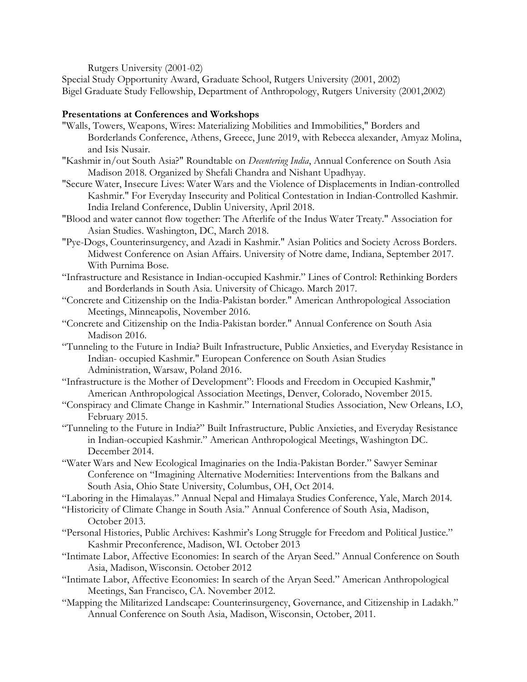Rutgers University (2001-02)

Special Study Opportunity Award, Graduate School, Rutgers University (2001, 2002) Bigel Graduate Study Fellowship, Department of Anthropology, Rutgers University (2001,2002)

# **Presentations at Conferences and Workshops**

- "Walls, Towers, Weapons, Wires: Materializing Mobilities and Immobilities," Borders and Borderlands Conference, Athens, Greece, June 2019, with Rebecca alexander, Amyaz Molina, and Isis Nusair.
- "Kashmir in/out South Asia?" Roundtable on *Decentering India*, Annual Conference on South Asia Madison 2018. Organized by Shefali Chandra and Nishant Upadhyay.
- "Secure Water, Insecure Lives: Water Wars and the Violence of Displacements in Indian-controlled Kashmir." For Everyday Insecurity and Political Contestation in Indian-Controlled Kashmir. India Ireland Conference, Dublin University, April 2018.
- "Blood and water cannot flow together: The Afterlife of the Indus Water Treaty." Association for Asian Studies. Washington, DC, March 2018.
- "Pye-Dogs, Counterinsurgency, and Azadi in Kashmir." Asian Politics and Society Across Borders. Midwest Conference on Asian Affairs. University of Notre dame, Indiana, September 2017. With Purnima Bose.
- "Infrastructure and Resistance in Indian-occupied Kashmir." Lines of Control: Rethinking Borders and Borderlands in South Asia. University of Chicago. March 2017.
- "Concrete and Citizenship on the India-Pakistan border." American Anthropological Association Meetings, Minneapolis, November 2016.
- "Concrete and Citizenship on the India-Pakistan border." Annual Conference on South Asia Madison 2016.
- "Tunneling to the Future in India? Built Infrastructure, Public Anxieties, and Everyday Resistance in Indian- occupied Kashmir." European Conference on South Asian Studies Administration, Warsaw, Poland 2016.
- "Infrastructure is the Mother of Development": Floods and Freedom in Occupied Kashmir," American Anthropological Association Meetings, Denver, Colorado, November 2015.
- "Conspiracy and Climate Change in Kashmir." International Studies Association, New Orleans, LO, February 2015.
- "Tunneling to the Future in India?" Built Infrastructure, Public Anxieties, and Everyday Resistance in Indian-occupied Kashmir." American Anthropological Meetings, Washington DC. December 2014.
- "Water Wars and New Ecological Imaginaries on the India-Pakistan Border." Sawyer Seminar Conference on "Imagining Alternative Modernities: Interventions from the Balkans and South Asia, Ohio State University, Columbus, OH, Oct 2014.
- "Laboring in the Himalayas." Annual Nepal and Himalaya Studies Conference, Yale, March 2014.
- "Historicity of Climate Change in South Asia." Annual Conference of South Asia, Madison, October 2013.
- "Personal Histories, Public Archives: Kashmir's Long Struggle for Freedom and Political Justice." Kashmir Preconference, Madison, WI. October 2013
- "Intimate Labor, Affective Economies: In search of the Aryan Seed." Annual Conference on South Asia, Madison, Wisconsin. October 2012
- "Intimate Labor, Affective Economies: In search of the Aryan Seed." American Anthropological Meetings, San Francisco, CA. November 2012.
- "Mapping the Militarized Landscape: Counterinsurgency, Governance, and Citizenship in Ladakh." Annual Conference on South Asia, Madison, Wisconsin, October, 2011.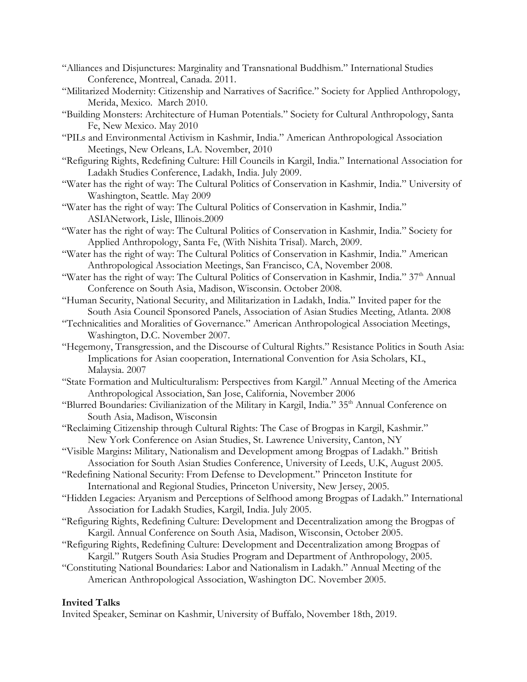- "Alliances and Disjunctures: Marginality and Transnational Buddhism." International Studies Conference, Montreal, Canada. 2011.
- "Militarized Modernity: Citizenship and Narratives of Sacrifice." Society for Applied Anthropology, Merida, Mexico. March 2010.
- "Building Monsters: Architecture of Human Potentials." Society for Cultural Anthropology, Santa Fe, New Mexico. May 2010
- "PILs and Environmental Activism in Kashmir, India." American Anthropological Association Meetings, New Orleans, LA. November, 2010
- "Refiguring Rights, Redefining Culture: Hill Councils in Kargil, India." International Association for Ladakh Studies Conference, Ladakh, India. July 2009.
- "Water has the right of way: The Cultural Politics of Conservation in Kashmir, India." University of Washington, Seattle. May 2009
- "Water has the right of way: The Cultural Politics of Conservation in Kashmir, India." ASIANetwork, Lisle, Illinois.2009
- "Water has the right of way: The Cultural Politics of Conservation in Kashmir, India." Society for Applied Anthropology, Santa Fe, (With Nishita Trisal). March, 2009.
- "Water has the right of way: The Cultural Politics of Conservation in Kashmir, India." American Anthropological Association Meetings, San Francisco, CA, November 2008.
- "Water has the right of way: The Cultural Politics of Conservation in Kashmir, India." 37<sup>th</sup> Annual Conference on South Asia, Madison, Wisconsin. October 2008.
- "Human Security, National Security, and Militarization in Ladakh, India." Invited paper for the South Asia Council Sponsored Panels, Association of Asian Studies Meeting, Atlanta. 2008
- "Technicalities and Moralities of Governance." American Anthropological Association Meetings, Washington, D.C. November 2007.
- "Hegemony, Transgression, and the Discourse of Cultural Rights." Resistance Politics in South Asia: Implications for Asian cooperation, International Convention for Asia Scholars, KL, Malaysia. 2007
- "State Formation and Multiculturalism: Perspectives from Kargil." Annual Meeting of the America Anthropological Association, San Jose, California, November 2006
- "Blurred Boundaries: Civilianization of the Military in Kargil, India." 35<sup>th</sup> Annual Conference on South Asia, Madison, Wisconsin
- "Reclaiming Citizenship through Cultural Rights: The Case of Brogpas in Kargil, Kashmir." New York Conference on Asian Studies, St. Lawrence University, Canton, NY
- "Visible Margins**:** Military, Nationalism and Development among Brogpas of Ladakh." British Association for South Asian Studies Conference, University of Leeds, U.K, August 2005.
- "Redefining National Security: From Defense to Development." Princeton Institute for International and Regional Studies, Princeton University, New Jersey, 2005.
- "Hidden Legacies: Aryanism and Perceptions of Selfhood among Brogpas of Ladakh." International Association for Ladakh Studies, Kargil, India. July 2005.
- "Refiguring Rights, Redefining Culture: Development and Decentralization among the Brogpas of Kargil. Annual Conference on South Asia, Madison, Wisconsin, October 2005.
- "Refiguring Rights, Redefining Culture: Development and Decentralization among Brogpas of Kargil." Rutgers South Asia Studies Program and Department of Anthropology, 2005.
- "Constituting National Boundaries: Labor and Nationalism in Ladakh." Annual Meeting of the American Anthropological Association, Washington DC. November 2005.

# **Invited Talks**

Invited Speaker, Seminar on Kashmir, University of Buffalo, November 18th, 2019.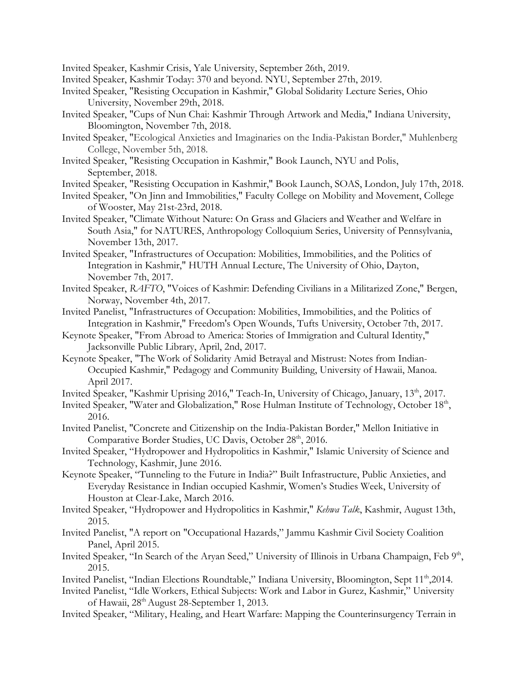Invited Speaker, Kashmir Crisis, Yale University, September 26th, 2019.

Invited Speaker, Kashmir Today: 370 and beyond. NYU, September 27th, 2019.

- Invited Speaker, "Resisting Occupation in Kashmir," Global Solidarity Lecture Series, Ohio University, November 29th, 2018.
- Invited Speaker, "Cups of Nun Chai: Kashmir Through Artwork and Media," Indiana University, Bloomington, November 7th, 2018.
- Invited Speaker, "Ecological Anxieties and Imaginaries on the India-Pakistan Border," Muhlenberg College, November 5th, 2018.
- Invited Speaker, "Resisting Occupation in Kashmir," Book Launch, NYU and Polis, September, 2018.
- Invited Speaker, "Resisting Occupation in Kashmir," Book Launch, SOAS, London, July 17th, 2018.
- Invited Speaker, "On Jinn and Immobilities," Faculty College on Mobility and Movement, College of Wooster, May 21st-23rd, 2018.
- Invited Speaker, "Climate Without Nature: On Grass and Glaciers and Weather and Welfare in South Asia," for NATURES, Anthropology Colloquium Series, University of Pennsylvania, November 13th, 2017.
- Invited Speaker, "Infrastructures of Occupation: Mobilities, Immobilities, and the Politics of Integration in Kashmir," HUTH Annual Lecture, The University of Ohio, Dayton, November 7th, 2017.
- Invited Speaker, *RAFTO*, "Voices of Kashmir: Defending Civilians in a Militarized Zone," Bergen, Norway, November 4th, 2017.
- Invited Panelist, "Infrastructures of Occupation: Mobilities, Immobilities, and the Politics of Integration in Kashmir," Freedom's Open Wounds, Tufts University, October 7th, 2017.
- Keynote Speaker, "From Abroad to America: Stories of Immigration and Cultural Identity," Jacksonville Public Library, April, 2nd, 2017.
- Keynote Speaker, "The Work of Solidarity Amid Betrayal and Mistrust: Notes from Indian- Occupied Kashmir," Pedagogy and Community Building, University of Hawaii, Manoa. April 2017.
- Invited Speaker, "Kashmir Uprising 2016," Teach-In, University of Chicago, January, 13<sup>th</sup>, 2017.
- Invited Speaker, "Water and Globalization," Rose Hulman Institute of Technology, October 18<sup>th</sup>, 2016.
- Invited Panelist, "Concrete and Citizenship on the India-Pakistan Border," Mellon Initiative in Comparative Border Studies, UC Davis, October 28<sup>th</sup>, 2016.
- Invited Speaker, "Hydropower and Hydropolitics in Kashmir," Islamic University of Science and Technology, Kashmir, June 2016.
- Keynote Speaker, "Tunneling to the Future in India?" Built Infrastructure, Public Anxieties, and Everyday Resistance in Indian occupied Kashmir, Women's Studies Week, University of Houston at Clear-Lake, March 2016.
- Invited Speaker, "Hydropower and Hydropolitics in Kashmir," *Kehwa Talk*, Kashmir, August 13th, 2015.
- Invited Panelist, "A report on "Occupational Hazards," Jammu Kashmir Civil Society Coalition Panel, April 2015.
- Invited Speaker, "In Search of the Aryan Seed," University of Illinois in Urbana Champaign, Feb 9th, 2015.
- Invited Panelist, "Indian Elections Roundtable," Indiana University, Bloomington, Sept 11<sup>th</sup>,2014.

Invited Panelist, "Idle Workers, Ethical Subjects: Work and Labor in Gurez, Kashmir," University of Hawaii, 28<sup>th</sup> August 28-September 1, 2013.

Invited Speaker, "Military, Healing, and Heart Warfare: Mapping the Counterinsurgency Terrain in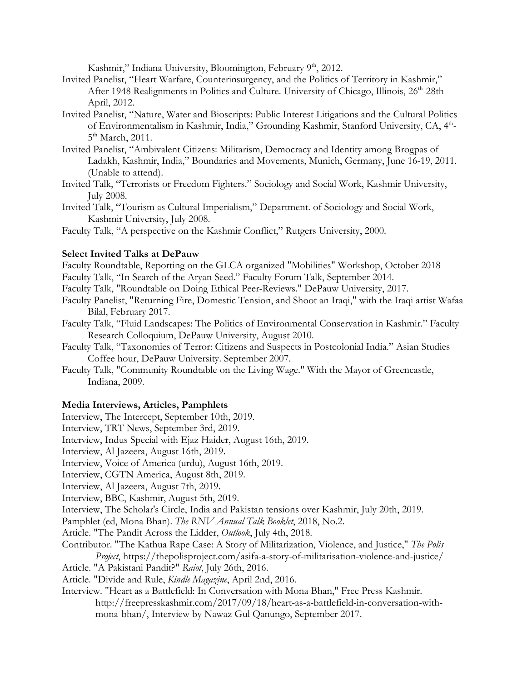Kashmir," Indiana University, Bloomington, February 9th, 2012.

- Invited Panelist, "Heart Warfare, Counterinsurgency, and the Politics of Territory in Kashmir," After 1948 Realignments in Politics and Culture. University of Chicago, Illinois, 26<sup>th</sup>-28th April, 2012.
- Invited Panelist, "Nature, Water and Bioscripts: Public Interest Litigations and the Cultural Politics of Environmentalism in Kashmir, India," Grounding Kashmir, Stanford University, CA, 4<sup>th</sup>- $5<sup>th</sup> March, 2011.$
- Invited Panelist, "Ambivalent Citizens: Militarism, Democracy and Identity among Brogpas of Ladakh, Kashmir, India," Boundaries and Movements, Munich, Germany, June 16-19, 2011. (Unable to attend).
- Invited Talk, "Terrorists or Freedom Fighters." Sociology and Social Work, Kashmir University, July 2008.
- Invited Talk, "Tourism as Cultural Imperialism," Department. of Sociology and Social Work, Kashmir University, July 2008.
- Faculty Talk, "A perspective on the Kashmir Conflict," Rutgers University, 2000.

## **Select Invited Talks at DePauw**

- Faculty Roundtable, Reporting on the GLCA organized "Mobilities" Workshop, October 2018
- Faculty Talk, "In Search of the Aryan Seed." Faculty Forum Talk, September 2014.
- Faculty Talk, "Roundtable on Doing Ethical Peer-Reviews." DePauw University, 2017.
- Faculty Panelist, "Returning Fire, Domestic Tension, and Shoot an Iraqi," with the Iraqi artist Wafaa Bilal, February 2017.
- Faculty Talk, "Fluid Landscapes: The Politics of Environmental Conservation in Kashmir." Faculty Research Colloquium, DePauw University, August 2010.
- Faculty Talk, "Taxonomies of Terror: Citizens and Suspects in Postcolonial India." Asian Studies Coffee hour, DePauw University. September 2007.
- Faculty Talk, "Community Roundtable on the Living Wage." With the Mayor of Greencastle, Indiana, 2009.

# **Media Interviews, Articles, Pamphlets**

- Interview, The Intercept, September 10th, 2019.
- Interview, TRT News, September 3rd, 2019.
- Interview, Indus Special with Ejaz Haider, August 16th, 2019.
- Interview, Al Jazeera, August 16th, 2019.
- Interview, Voice of America (urdu), August 16th, 2019.
- Interview, CGTN America, August 8th, 2019.
- Interview, Al Jazeera, August 7th, 2019.
- Interview, BBC, Kashmir, August 5th, 2019.
- Interview, The Scholar's Circle, India and Pakistan tensions over Kashmir, July 20th, 2019.
- Pamphlet (ed, Mona Bhan). *The RNV Annual Talk Booklet*, 2018, No.2.
- Article. "The Pandit Across the Lidder, *Outlook*, July 4th, 2018.
- Contributor. "The Kathua Rape Case: A Story of Militarization, Violence, and Justice," *The Polis Project*, https://thepolisproject.com/asifa-a-story-of-militarisation-violence-and-justice/
- Article. "A Pakistani Pandit?" *Raiot*, July 26th, 2016.
- Article. "Divide and Rule, *Kindle Magazine*, April 2nd, 2016.
- Interview. "Heart as a Battlefield: In Conversation with Mona Bhan," Free Press Kashmir. http://freepresskashmir.com/2017/09/18/heart-as-a-battlefield-in-conversation-with mona-bhan/, Interview by Nawaz Gul Qanungo, September 2017.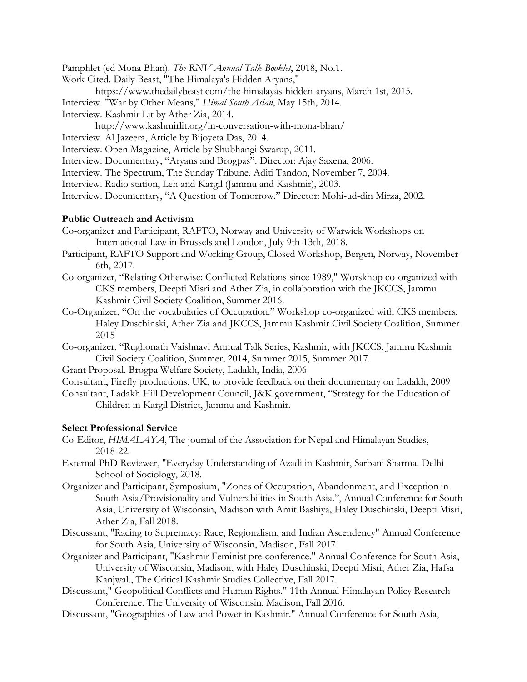Pamphlet (ed Mona Bhan). *The RNV Annual Talk Booklet*, 2018, No.1.

- Work Cited. Daily Beast, "The Himalaya's Hidden Aryans,"
- https://www.thedailybeast.com/the-himalayas-hidden-aryans, March 1st, 2015. Interview. "War by Other Means," *Himal South Asian*, May 15th, 2014. Interview. Kashmir Lit by Ather Zia, 2014.
	- http://www.kashmirlit.org/in-conversation-with-mona-bhan/
- Interview. Al Jazeera, Article by Bijoyeta Das, 2014.
- Interview. Open Magazine, Article by Shubhangi Swarup, 2011.
- Interview. Documentary, "Aryans and Brogpas". Director: Ajay Saxena, 2006.
- Interview. The Spectrum, The Sunday Tribune. Aditi Tandon, November 7, 2004.
- Interview. Radio station, Leh and Kargil (Jammu and Kashmir), 2003.

Interview. Documentary, "A Question of Tomorrow." Director: Mohi-ud-din Mirza, 2002.

#### **Public Outreach and Activism**

- Co-organizer and Participant, RAFTO, Norway and University of Warwick Workshops on International Law in Brussels and London, July 9th-13th, 2018.
- Participant, RAFTO Support and Working Group, Closed Workshop, Bergen, Norway, November 6th, 2017.
- Co-organizer, "Relating Otherwise: Conflicted Relations since 1989," Worskhop co-organized with CKS members, Deepti Misri and Ather Zia, in collaboration with the JKCCS, Jammu Kashmir Civil Society Coalition, Summer 2016.
- Co-Organizer, "On the vocabularies of Occupation." Workshop co-organized with CKS members, Haley Duschinski, Ather Zia and JKCCS, Jammu Kashmir Civil Society Coalition, Summer 2015
- Co-organizer, "Rughonath Vaishnavi Annual Talk Series, Kashmir, with JKCCS, Jammu Kashmir Civil Society Coalition, Summer, 2014, Summer 2015, Summer 2017.
- Grant Proposal. Brogpa Welfare Society, Ladakh, India, 2006
- Consultant, Firefly productions, UK, to provide feedback on their documentary on Ladakh, 2009
- Consultant, Ladakh Hill Development Council, J&K government, "Strategy for the Education of Children in Kargil District, Jammu and Kashmir.

# **Select Professional Service**

- Co-Editor, *HIMALAYA*, The journal of the Association for Nepal and Himalayan Studies, 2018-22.
- External PhD Reviewer, "Everyday Understanding of Azadi in Kashmir, Sarbani Sharma. Delhi School of Sociology, 2018.
- Organizer and Participant, Symposium, "Zones of Occupation, Abandonment, and Exception in South Asia/Provisionality and Vulnerabilities in South Asia.", Annual Conference for South Asia, University of Wisconsin, Madison with Amit Bashiya, Haley Duschinski, Deepti Misri, Ather Zia, Fall 2018.
- Discussant, "Racing to Supremacy: Race, Regionalism, and Indian Ascendency" Annual Conference for South Asia, University of Wisconsin, Madison, Fall 2017.
- Organizer and Participant, "Kashmir Feminist pre-conference." Annual Conference for South Asia, University of Wisconsin, Madison, with Haley Duschinski, Deepti Misri, Ather Zia, Hafsa Kanjwal., The Critical Kashmir Studies Collective, Fall 2017.
- Discussant," Geopolitical Conflicts and Human Rights." 11th Annual Himalayan Policy Research Conference. The University of Wisconsin, Madison, Fall 2016.
- Discussant, "Geographies of Law and Power in Kashmir." Annual Conference for South Asia,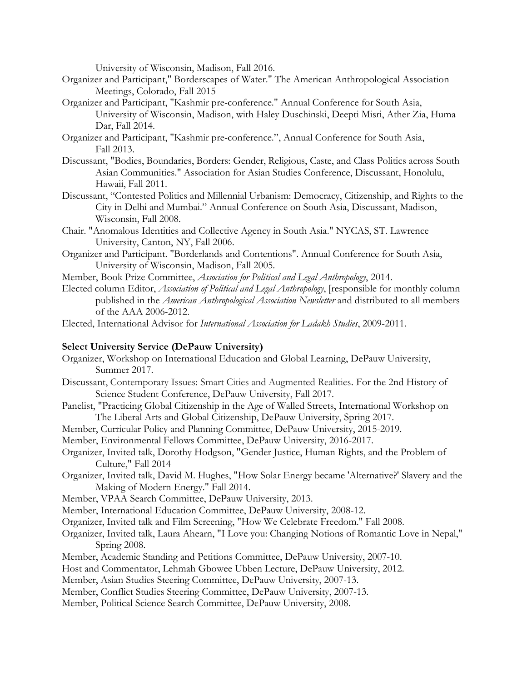University of Wisconsin, Madison, Fall 2016.

- Organizer and Participant," Borderscapes of Water." The American Anthropological Association Meetings, Colorado, Fall 2015
- Organizer and Participant, "Kashmir pre-conference." Annual Conference for South Asia, University of Wisconsin, Madison, with Haley Duschinski, Deepti Misri, Ather Zia, Huma Dar, Fall 2014.
- Organizer and Participant, "Kashmir pre-conference.", Annual Conference for South Asia, Fall 2013.
- Discussant, "Bodies, Boundaries, Borders: Gender, Religious, Caste, and Class Politics across South Asian Communities." Association for Asian Studies Conference, Discussant, Honolulu, Hawaii, Fall 2011.
- Discussant, "Contested Politics and Millennial Urbanism: Democracy, Citizenship, and Rights to the City in Delhi and Mumbai." Annual Conference on South Asia, Discussant, Madison, Wisconsin, Fall 2008.
- Chair. "Anomalous Identities and Collective Agency in South Asia." NYCAS, ST. Lawrence University, Canton, NY, Fall 2006.
- Organizer and Participant. "Borderlands and Contentions". Annual Conference for South Asia, University of Wisconsin, Madison, Fall 2005.
- Member, Book Prize Committee, *Association for Political and Legal Anthropology*, 2014.
- Elected column Editor, *Association of Political and Legal Anthropology*, [responsible for monthly column published in the *American Anthropological Association Newsletter* and distributed to all members of the AAA 2006-2012.
- Elected, International Advisor for *International Association for Ladakh Studies*, 2009-2011.

# **Select University Service (DePauw University)**

- Organizer, Workshop on International Education and Global Learning, DePauw University, Summer 2017.
- Discussant, Contemporary Issues: Smart Cities and Augmented Realities. For the 2nd History of Science Student Conference, DePauw University, Fall 2017.
- Panelist, "Practicing Global Citizenship in the Age of Walled Streets, International Workshop on The Liberal Arts and Global Citizenship, DePauw University, Spring 2017.
- Member, Curricular Policy and Planning Committee, DePauw University, 2015-2019.
- Member, Environmental Fellows Committee, DePauw University, 2016-2017.
- Organizer, Invited talk, Dorothy Hodgson, "Gender Justice, Human Rights, and the Problem of Culture," Fall 2014
- Organizer, Invited talk, David M. Hughes, "How Solar Energy became 'Alternative?' Slavery and the Making of Modern Energy." Fall 2014.
- Member, VPAA Search Committee, DePauw University, 2013.

Member, International Education Committee, DePauw University, 2008-12.

- Organizer, Invited talk and Film Screening, "How We Celebrate Freedom." Fall 2008.
- Organizer, Invited talk, Laura Ahearn, "I Love you: Changing Notions of Romantic Love in Nepal," Spring 2008.
- Member, Academic Standing and Petitions Committee, DePauw University, 2007-10.
- Host and Commentator, Lehmah Gbowee Ubben Lecture, DePauw University, 2012.
- Member, Asian Studies Steering Committee, DePauw University, 2007-13.
- Member, Conflict Studies Steering Committee, DePauw University, 2007-13.
- Member, Political Science Search Committee, DePauw University, 2008.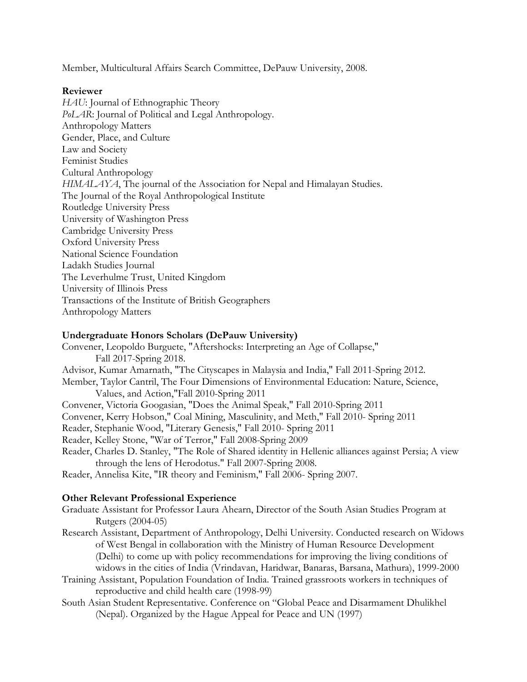Member, Multicultural Affairs Search Committee, DePauw University, 2008.

#### **Reviewer**

*HAU*: Journal of Ethnographic Theory *PoLAR*: Journal of Political and Legal Anthropology. Anthropology Matters Gender, Place, and Culture Law and Society Feminist Studies Cultural Anthropology *HIMALAYA*, The journal of the Association for Nepal and Himalayan Studies. The Journal of the Royal Anthropological Institute Routledge University Press University of Washington Press Cambridge University Press Oxford University Press National Science Foundation Ladakh Studies Journal The Leverhulme Trust, United Kingdom University of Illinois Press Transactions of the Institute of British Geographers Anthropology Matters

# **Undergraduate Honors Scholars (DePauw University)**

Convener, Leopoldo Burguete, "Aftershocks: Interpreting an Age of Collapse," Fall 2017-Spring 2018. Advisor, Kumar Amarnath, "The Cityscapes in Malaysia and India," Fall 2011-Spring 2012. Member, Taylor Cantril, The Four Dimensions of Environmental Education: Nature, Science, Values, and Action,"Fall 2010-Spring 2011 Convener, Victoria Googasian, "Does the Animal Speak," Fall 2010-Spring 2011 Convener, Kerry Hobson," Coal Mining, Masculinity, and Meth," Fall 2010- Spring 2011 Reader, Stephanie Wood, "Literary Genesis," Fall 2010- Spring 2011 Reader, Kelley Stone, "War of Terror," Fall 2008-Spring 2009 Reader, Charles D. Stanley, "The Role of Shared identity in Hellenic alliances against Persia; A view through the lens of Herodotus." Fall 2007-Spring 2008. Reader, Annelisa Kite, "IR theory and Feminism," Fall 2006- Spring 2007. **Other Relevant Professional Experience**

## Graduate Assistant for Professor Laura Ahearn, Director of the South Asian Studies Program at Rutgers (2004-05)

- Research Assistant, Department of Anthropology, Delhi University. Conducted research on Widows of West Bengal in collaboration with the Ministry of Human Resource Development (Delhi) to come up with policy recommendations for improving the living conditions of widows in the cities of India (Vrindavan, Haridwar, Banaras, Barsana, Mathura), 1999-2000
- Training Assistant, Population Foundation of India. Trained grassroots workers in techniques of reproductive and child health care (1998-99)
- South Asian Student Representative. Conference on "Global Peace and Disarmament Dhulikhel (Nepal). Organized by the Hague Appeal for Peace and UN (1997)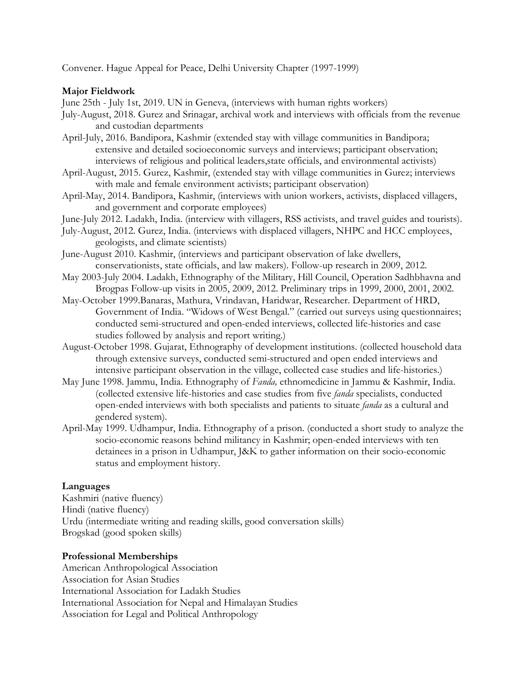Convener. Hague Appeal for Peace, Delhi University Chapter (1997-1999)

# **Major Fieldwork**

June 25th - July 1st, 2019. UN in Geneva, (interviews with human rights workers)

- July-August, 2018. Gurez and Srinagar, archival work and interviews with officials from the revenue and custodian departments
- April-July, 2016. Bandipora, Kashmir (extended stay with village communities in Bandipora; extensive and detailed socioeconomic surveys and interviews; participant observation; interviews of religious and political leaders, state officials, and environmental activists)
- April-August, 2015. Gurez, Kashmir, (extended stay with village communities in Gurez; interviews with male and female environment activists; participant observation)
- April-May, 2014. Bandipora, Kashmir, (interviews with union workers, activists, displaced villagers, and government and corporate employees)
- June-July 2012. Ladakh, India. (interview with villagers, RSS activists, and travel guides and tourists).
- July-August, 2012. Gurez, India. (interviews with displaced villagers, NHPC and HCC employees, geologists, and climate scientists)
- June-August 2010. Kashmir, (interviews and participant observation of lake dwellers, conservationists, state officials, and law makers). Follow-up research in 2009, 2012.
- May 2003-July 2004. Ladakh, Ethnography of the Military, Hill Council, Operation Sadhbhavna and Brogpas Follow-up visits in 2005, 2009, 2012. Preliminary trips in 1999, 2000, 2001, 2002.
- May-October 1999.Banaras, Mathura, Vrindavan, Haridwar, Researcher. Department of HRD, Government of India. "Widows of West Bengal." (carried out surveys using questionnaires; conducted semi-structured and open-ended interviews, collected life-histories and case studies followed by analysis and report writing.)
- August-October 1998. Gujarat, Ethnography of development institutions. (collected household data through extensive surveys, conducted semi-structured and open ended interviews and intensive participant observation in the village, collected case studies and life-histories.)
- May June 1998. Jammu, India. Ethnography of *Fanda,* ethnomedicine in Jammu & Kashmir, India. (collected extensive life-histories and case studies from five *fanda* specialists, conducted open-ended interviews with both specialists and patients to situate *fanda* as a cultural and gendered system).
- April-May 1999. Udhampur, India. Ethnography of a prison. (conducted a short study to analyze the socio-economic reasons behind militancy in Kashmir; open-ended interviews with ten detainees in a prison in Udhampur, J&K to gather information on their socio-economic status and employment history.

# **Languages**

Kashmiri (native fluency) Hindi (native fluency) Urdu (intermediate writing and reading skills, good conversation skills) Brogskad (good spoken skills)

# **Professional Memberships**

American Anthropological Association Association for Asian Studies International Association for Ladakh Studies International Association for Nepal and Himalayan Studies Association for Legal and Political Anthropology